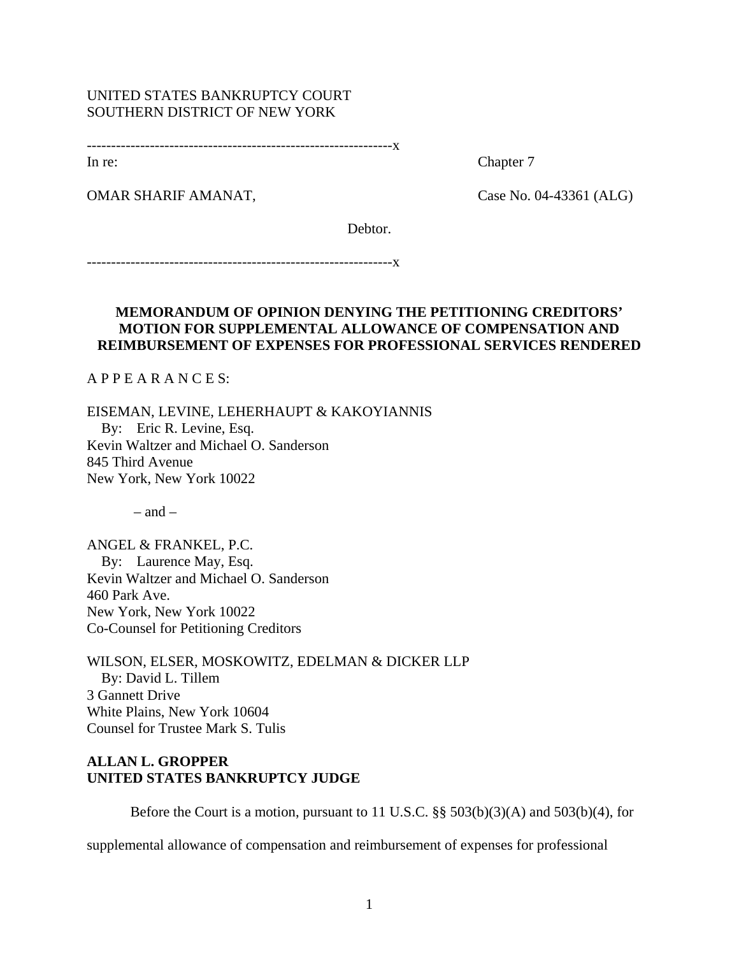### UNITED STATES BANKRUPTCY COURT SOUTHERN DISTRICT OF NEW YORK

---------------------------------------------------------------x

In re: Chapter 7

OMAR SHARIF AMANAT,Case No. 04-43361 (ALG)

Debtor.

---------------------------------------------------------------x

## **MEMORANDUM OF OPINION DENYING THE PETITIONING CREDITORS' MOTION FOR SUPPLEMENTAL ALLOWANCE OF COMPENSATION AND REIMBURSEMENT OF EXPENSES FOR PROFESSIONAL SERVICES RENDERED**

A P P E A R A N C E S:

EISEMAN, LEVINE, LEHERHAUPT & KAKOYIANNIS By: Eric R. Levine, Esq. Kevin Waltzer and Michael O. Sanderson 845 Third Avenue New York, New York 10022

 $-$  and  $-$ 

ANGEL & FRANKEL, P.C. By: Laurence May, Esq. Kevin Waltzer and Michael O. Sanderson 460 Park Ave. New York, New York 10022 Co-Counsel for Petitioning Creditors

WILSON, ELSER, MOSKOWITZ, EDELMAN & DICKER LLP By: David L. Tillem 3 Gannett Drive White Plains, New York 10604 Counsel for Trustee Mark S. Tulis

# **ALLAN L. GROPPER UNITED STATES BANKRUPTCY JUDGE**

Before the Court is a motion, pursuant to 11 U.S.C. §§ 503(b)(3)(A) and 503(b)(4), for

supplemental allowance of compensation and reimbursement of expenses for professional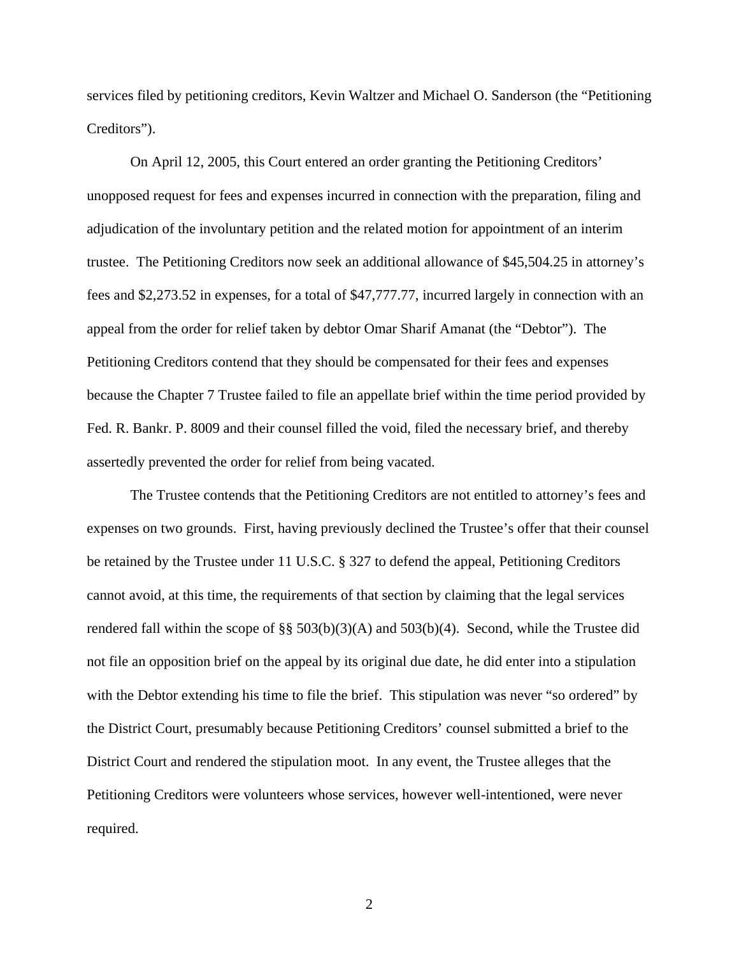services filed by petitioning creditors, Kevin Waltzer and Michael O. Sanderson (the "Petitioning Creditors").

On April 12, 2005, this Court entered an order granting the Petitioning Creditors' unopposed request for fees and expenses incurred in connection with the preparation, filing and adjudication of the involuntary petition and the related motion for appointment of an interim trustee. The Petitioning Creditors now seek an additional allowance of \$45,504.25 in attorney's fees and \$2,273.52 in expenses, for a total of \$47,777.77, incurred largely in connection with an appeal from the order for relief taken by debtor Omar Sharif Amanat (the "Debtor"). The Petitioning Creditors contend that they should be compensated for their fees and expenses because the Chapter 7 Trustee failed to file an appellate brief within the time period provided by Fed. R. Bankr. P. 8009 and their counsel filled the void, filed the necessary brief, and thereby assertedly prevented the order for relief from being vacated.

The Trustee contends that the Petitioning Creditors are not entitled to attorney's fees and expenses on two grounds. First, having previously declined the Trustee's offer that their counsel be retained by the Trustee under 11 U.S.C. § 327 to defend the appeal, Petitioning Creditors cannot avoid, at this time, the requirements of that section by claiming that the legal services rendered fall within the scope of §§ 503(b)(3)(A) and 503(b)(4). Second, while the Trustee did not file an opposition brief on the appeal by its original due date, he did enter into a stipulation with the Debtor extending his time to file the brief. This stipulation was never "so ordered" by the District Court, presumably because Petitioning Creditors' counsel submitted a brief to the District Court and rendered the stipulation moot. In any event, the Trustee alleges that the Petitioning Creditors were volunteers whose services, however well-intentioned, were never required.

2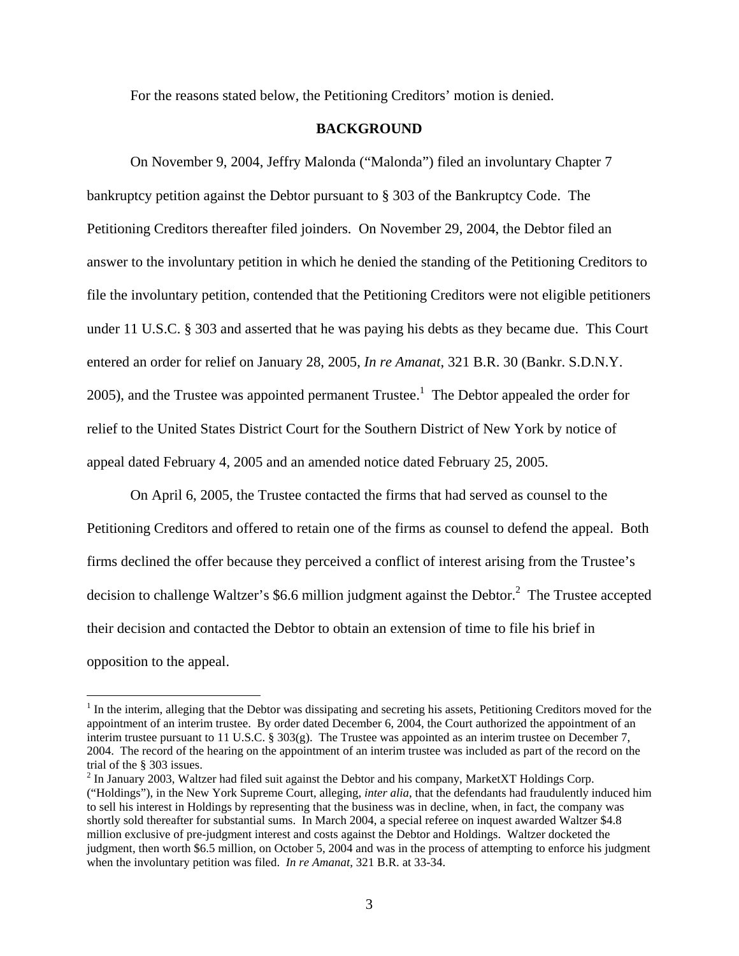For the reasons stated below, the Petitioning Creditors' motion is denied.

## **BACKGROUND**

On November 9, 2004, Jeffry Malonda ("Malonda") filed an involuntary Chapter 7 bankruptcy petition against the Debtor pursuant to § 303 of the Bankruptcy Code. The Petitioning Creditors thereafter filed joinders. On November 29, 2004, the Debtor filed an answer to the involuntary petition in which he denied the standing of the Petitioning Creditors to file the involuntary petition, contended that the Petitioning Creditors were not eligible petitioners under 11 U.S.C. § 303 and asserted that he was paying his debts as they became due. This Court entered an order for relief on January 28, 2005, *In re Amanat*, 321 B.R. 30 (Bankr. S.D.N.Y. 2005), and the Trustee was appointed permanent Trustee.<sup>1</sup> The Debtor appealed the order for relief to the United States District Court for the Southern District of New York by notice of appeal dated February 4, 2005 and an amended notice dated February 25, 2005.

On April 6, 2005, the Trustee contacted the firms that had served as counsel to the Petitioning Creditors and offered to retain one of the firms as counsel to defend the appeal. Both firms declined the offer because they perceived a conflict of interest arising from the Trustee's decision to challenge Waltzer's \$6.6 million judgment against the Debtor. $^2$  The Trustee accepted their decision and contacted the Debtor to obtain an extension of time to file his brief in opposition to the appeal.

 $\overline{a}$ 

 $1$  In the interim, alleging that the Debtor was dissipating and secreting his assets, Petitioning Creditors moved for the appointment of an interim trustee. By order dated December 6, 2004, the Court authorized the appointment of an interim trustee pursuant to 11 U.S.C. § 303(g). The Trustee was appointed as an interim trustee on December 7, 2004. The record of the hearing on the appointment of an interim trustee was included as part of the record on the trial of the § 303 issues.

 $2$  In January 2003, Waltzer had filed suit against the Debtor and his company, MarketXT Holdings Corp. ("Holdings"), in the New York Supreme Court, alleging, *inter alia*, that the defendants had fraudulently induced him to sell his interest in Holdings by representing that the business was in decline, when, in fact, the company was shortly sold thereafter for substantial sums. In March 2004, a special referee on inquest awarded Waltzer \$4.8 million exclusive of pre-judgment interest and costs against the Debtor and Holdings. Waltzer docketed the judgment, then worth \$6.5 million, on October 5, 2004 and was in the process of attempting to enforce his judgment when the involuntary petition was filed. *In re Amanat*, 321 B.R. at 33-34.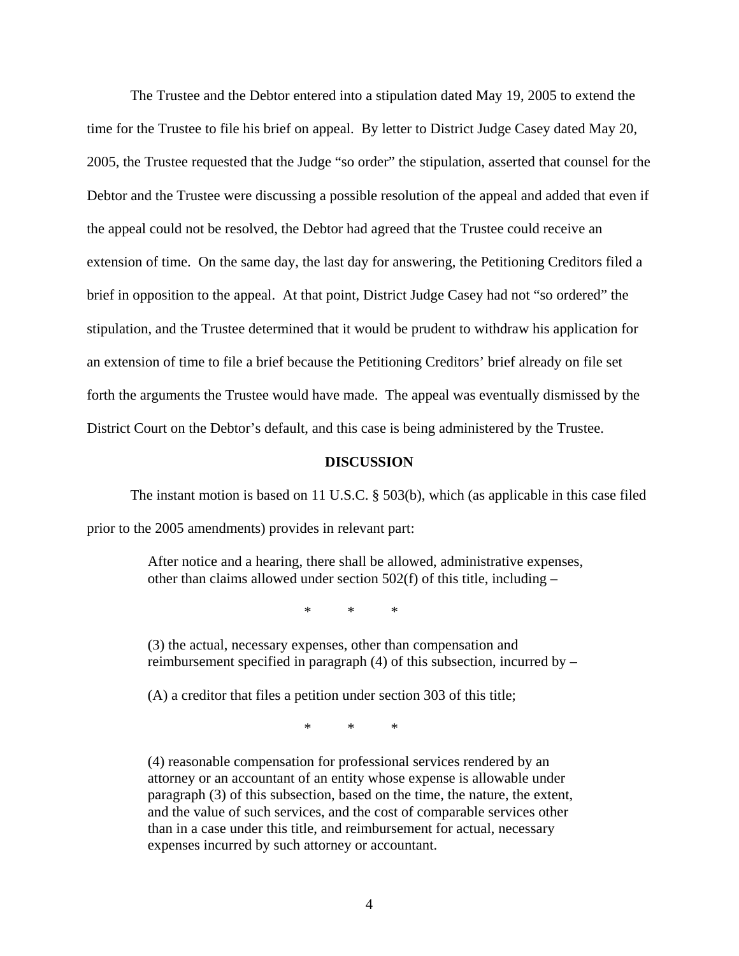The Trustee and the Debtor entered into a stipulation dated May 19, 2005 to extend the time for the Trustee to file his brief on appeal. By letter to District Judge Casey dated May 20, 2005, the Trustee requested that the Judge "so order" the stipulation, asserted that counsel for the Debtor and the Trustee were discussing a possible resolution of the appeal and added that even if the appeal could not be resolved, the Debtor had agreed that the Trustee could receive an extension of time. On the same day, the last day for answering, the Petitioning Creditors filed a brief in opposition to the appeal. At that point, District Judge Casey had not "so ordered" the stipulation, and the Trustee determined that it would be prudent to withdraw his application for an extension of time to file a brief because the Petitioning Creditors' brief already on file set forth the arguments the Trustee would have made. The appeal was eventually dismissed by the District Court on the Debtor's default, and this case is being administered by the Trustee.

#### **DISCUSSION**

The instant motion is based on 11 U.S.C. § 503(b), which (as applicable in this case filed prior to the 2005 amendments) provides in relevant part:

> After notice and a hearing, there shall be allowed, administrative expenses, other than claims allowed under section 502(f) of this title, including –

> > \* \* \*

(3) the actual, necessary expenses, other than compensation and reimbursement specified in paragraph (4) of this subsection, incurred by –

(A) a creditor that files a petition under section 303 of this title;

 $\begin{array}{ccc} \ast & \ast & \ast \end{array}$ 

(4) reasonable compensation for professional services rendered by an attorney or an accountant of an entity whose expense is allowable under paragraph (3) of this subsection, based on the time, the nature, the extent, and the value of such services, and the cost of comparable services other than in a case under this title, and reimbursement for actual, necessary expenses incurred by such attorney or accountant.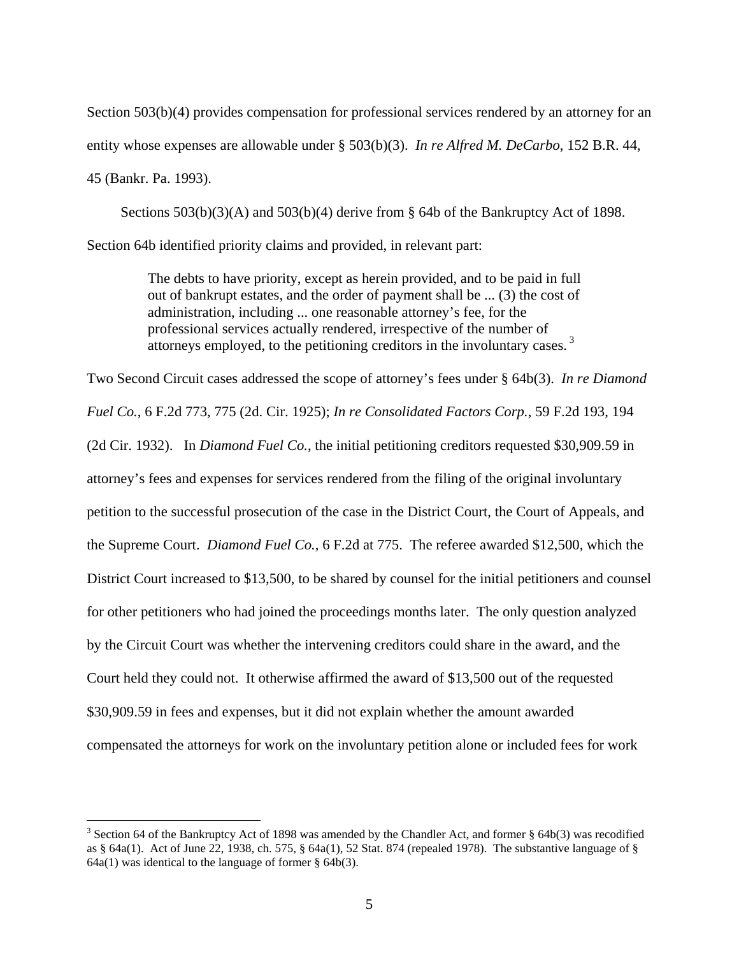Section 503(b)(4) provides compensation for professional services rendered by an attorney for an entity whose expenses are allowable under § 503(b)(3). *In re Alfred M. DeCarbo*, 152 B.R. 44, 45 (Bankr. Pa. 1993).

Sections 503(b)(3)(A) and 503(b)(4) derive from § 64b of the Bankruptcy Act of 1898. Section 64b identified priority claims and provided, in relevant part:

> The debts to have priority, except as herein provided, and to be paid in full out of bankrupt estates, and the order of payment shall be ... (3) the cost of administration, including ... one reasonable attorney's fee, for the professional services actually rendered, irrespective of the number of attorneys employed, to the petitioning creditors in the involuntary cases.<sup>3</sup>

Two Second Circuit cases addressed the scope of attorney's fees under § 64b(3). *In re Diamond Fuel Co.*, 6 F.2d 773, 775 (2d. Cir. 1925); *In re Consolidated Factors Corp.*, 59 F.2d 193, 194 (2d Cir. 1932). In *Diamond Fuel Co.*, the initial petitioning creditors requested \$30,909.59 in attorney's fees and expenses for services rendered from the filing of the original involuntary petition to the successful prosecution of the case in the District Court, the Court of Appeals, and the Supreme Court. *Diamond Fuel Co.*, 6 F.2d at 775. The referee awarded \$12,500, which the District Court increased to \$13,500, to be shared by counsel for the initial petitioners and counsel for other petitioners who had joined the proceedings months later. The only question analyzed by the Circuit Court was whether the intervening creditors could share in the award, and the Court held they could not. It otherwise affirmed the award of \$13,500 out of the requested \$30,909.59 in fees and expenses, but it did not explain whether the amount awarded compensated the attorneys for work on the involuntary petition alone or included fees for work

 $\overline{a}$ 

<sup>&</sup>lt;sup>3</sup> Section 64 of the Bankruptcy Act of 1898 was amended by the Chandler Act, and former  $\S$  64b(3) was recodified as § 64a(1). Act of June 22, 1938, ch. 575, § 64a(1), 52 Stat. 874 (repealed 1978). The substantive language of §  $64a(1)$  was identical to the language of former §  $64b(3)$ .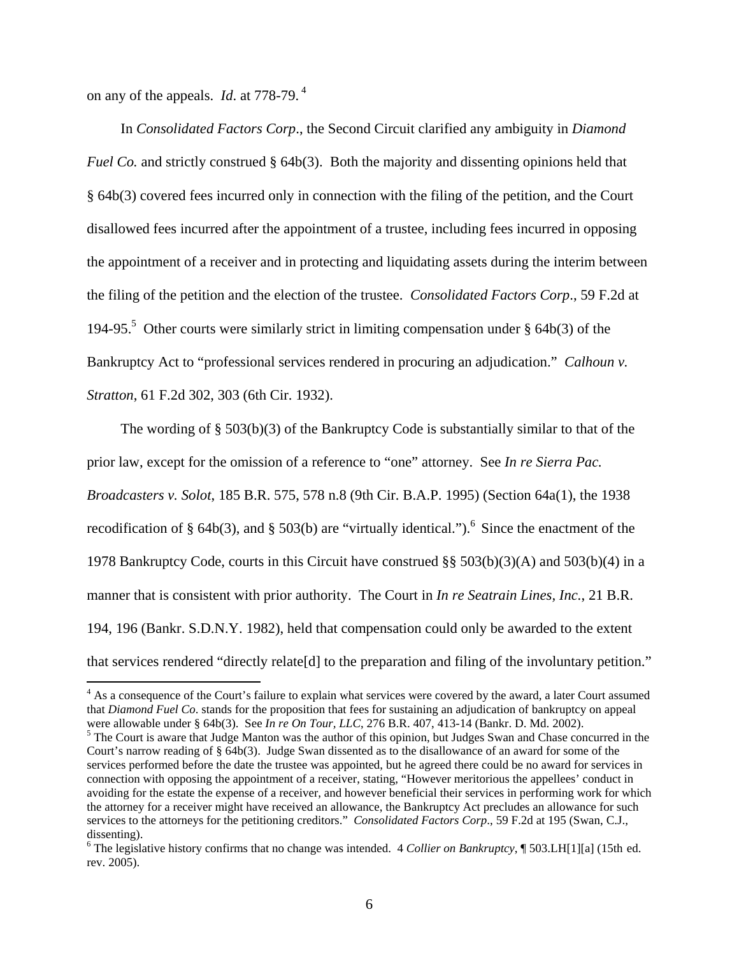on any of the appeals. *Id*. at 778-79. 4

 In *Consolidated Factors Corp*., the Second Circuit clarified any ambiguity in *Diamond Fuel Co.* and strictly construed § 64b(3). Both the majority and dissenting opinions held that § 64b(3) covered fees incurred only in connection with the filing of the petition, and the Court disallowed fees incurred after the appointment of a trustee, including fees incurred in opposing the appointment of a receiver and in protecting and liquidating assets during the interim between the filing of the petition and the election of the trustee. *Consolidated Factors Corp*., 59 F.2d at 194-95.<sup>5</sup> Other courts were similarly strict in limiting compensation under  $\S$  64b(3) of the Bankruptcy Act to "professional services rendered in procuring an adjudication." *Calhoun v. Stratton*, 61 F.2d 302, 303 (6th Cir. 1932).

 The wording of § 503(b)(3) of the Bankruptcy Code is substantially similar to that of the prior law, except for the omission of a reference to "one" attorney. See *In re Sierra Pac. Broadcasters v. Solot*, 185 B.R. 575, 578 n.8 (9th Cir. B.A.P. 1995) (Section 64a(1), the 1938 recodification of § 64b(3), and § 503(b) are "virtually identical.").<sup>6</sup> Since the enactment of the 1978 Bankruptcy Code, courts in this Circuit have construed §§ 503(b)(3)(A) and 503(b)(4) in a manner that is consistent with prior authority. The Court in *In re Seatrain Lines, Inc.*, 21 B.R. 194, 196 (Bankr. S.D.N.Y. 1982), held that compensation could only be awarded to the extent that services rendered "directly relate[d] to the preparation and filing of the involuntary petition."

<sup>&</sup>lt;sup>4</sup> As a consequence of the Court's failure to explain what services were covered by the award, a later Court assumed that *Diamond Fuel Co*. stands for the proposition that fees for sustaining an adjudication of bankruptcy on appeal were allowable under § 64b(3). See *In re On Tour, LLC*, 276 B.R. 407, 413-14 (Bankr. D. Md. 2002).

<sup>&</sup>lt;sup>5</sup> The Court is aware that Judge Manton was the author of this opinion, but Judges Swan and Chase concurred in the Court's narrow reading of § 64b(3). Judge Swan dissented as to the disallowance of an award for some of the services performed before the date the trustee was appointed, but he agreed there could be no award for services in connection with opposing the appointment of a receiver, stating, "However meritorious the appellees' conduct in avoiding for the estate the expense of a receiver, and however beneficial their services in performing work for which the attorney for a receiver might have received an allowance, the Bankruptcy Act precludes an allowance for such services to the attorneys for the petitioning creditors." *Consolidated Factors Corp*., 59 F.2d at 195 (Swan, C.J., dissenting).

<sup>6</sup> The legislative history confirms that no change was intended. 4 *Collier on Bankruptcy*, ¶ 503.LH[1][a] (15th ed. rev. 2005).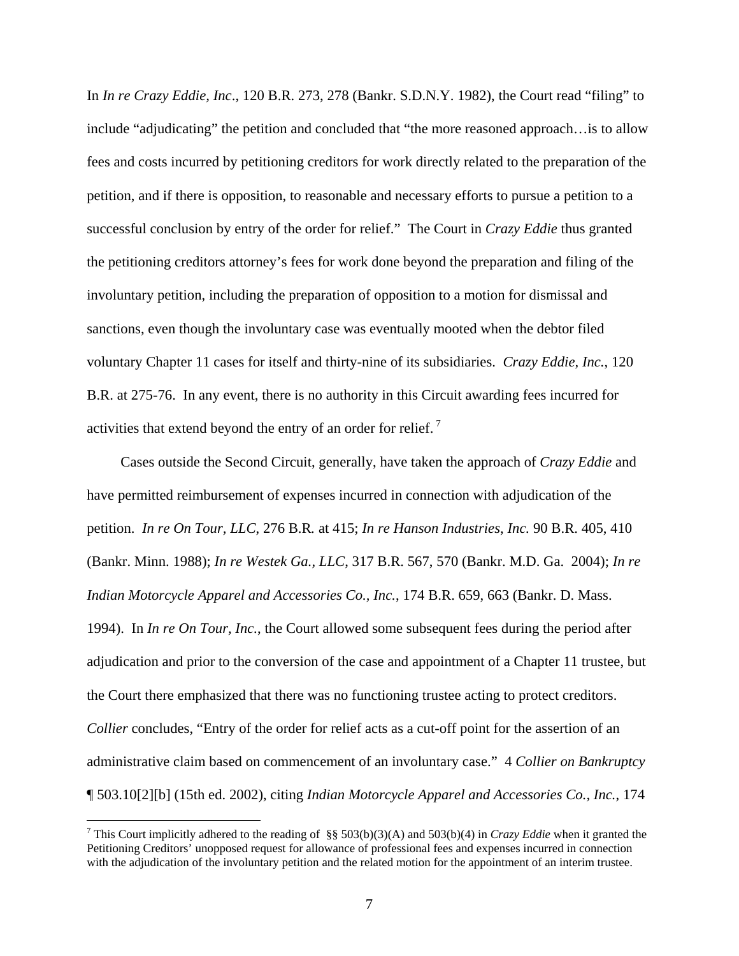In *In re Crazy Eddie, Inc*., 120 B.R. 273, 278 (Bankr. S.D.N.Y. 1982), the Court read "filing" to include "adjudicating" the petition and concluded that "the more reasoned approach…is to allow fees and costs incurred by petitioning creditors for work directly related to the preparation of the petition, and if there is opposition, to reasonable and necessary efforts to pursue a petition to a successful conclusion by entry of the order for relief." The Court in *Crazy Eddie* thus granted the petitioning creditors attorney's fees for work done beyond the preparation and filing of the involuntary petition, including the preparation of opposition to a motion for dismissal and sanctions, even though the involuntary case was eventually mooted when the debtor filed voluntary Chapter 11 cases for itself and thirty-nine of its subsidiaries. *Crazy Eddie, Inc.*, 120 B.R. at 275-76. In any event, there is no authority in this Circuit awarding fees incurred for activities that extend beyond the entry of an order for relief.<sup>7</sup>

 Cases outside the Second Circuit, generally, have taken the approach of *Crazy Eddie* and have permitted reimbursement of expenses incurred in connection with adjudication of the petition. *In re On Tour, LLC*, 276 B.R*.* at 415; *In re Hanson Industries*, *Inc.* 90 B.R. 405, 410 (Bankr. Minn. 1988); *In re Westek Ga., LLC*, 317 B.R. 567, 570 (Bankr. M.D. Ga. 2004); *In re Indian Motorcycle Apparel and Accessories Co., Inc.*, 174 B.R. 659, 663 (Bankr. D. Mass. 1994). In *In re On Tour, Inc.*, the Court allowed some subsequent fees during the period after adjudication and prior to the conversion of the case and appointment of a Chapter 11 trustee, but the Court there emphasized that there was no functioning trustee acting to protect creditors. *Collier* concludes, "Entry of the order for relief acts as a cut-off point for the assertion of an administrative claim based on commencement of an involuntary case." 4 *Collier on Bankruptcy* ¶ 503.10[2][b] (15th ed. 2002), citing *Indian Motorcycle Apparel and Accessories Co., Inc.*, 174

 $\overline{a}$ 

<sup>7</sup> This Court implicitly adhered to the reading of §§ 503(b)(3)(A) and 503(b)(4) in *Crazy Eddie* when it granted the Petitioning Creditors' unopposed request for allowance of professional fees and expenses incurred in connection with the adjudication of the involuntary petition and the related motion for the appointment of an interim trustee.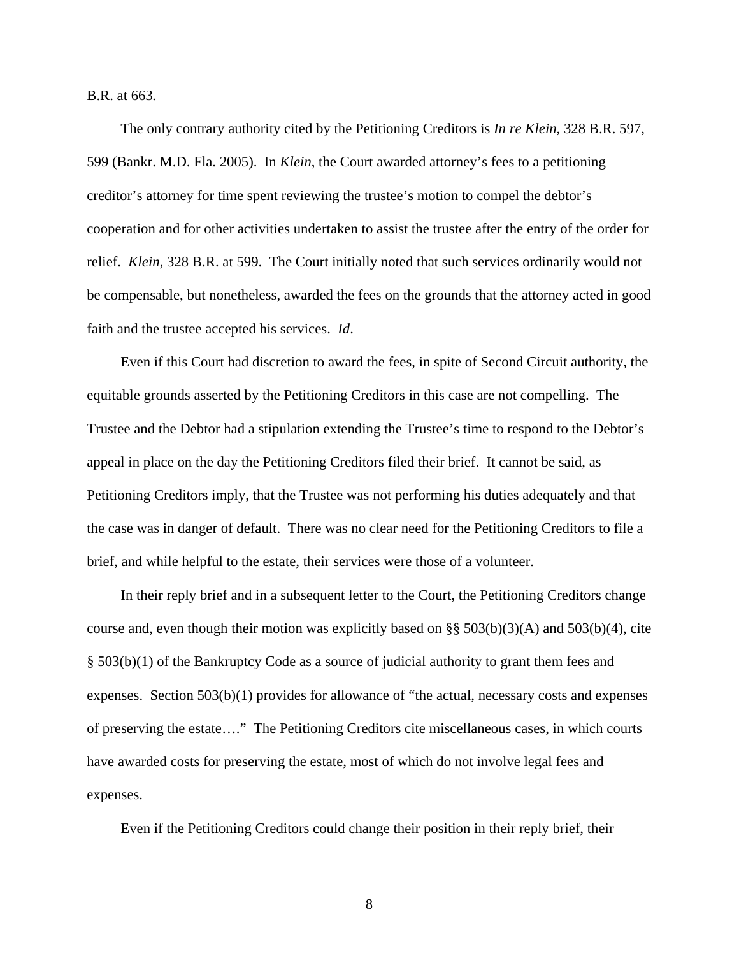B.R. at 663*.*

 The only contrary authority cited by the Petitioning Creditors is *In re Klein,* 328 B.R. 597, 599 (Bankr. M.D. Fla. 2005). In *Klein*, the Court awarded attorney's fees to a petitioning creditor's attorney for time spent reviewing the trustee's motion to compel the debtor's cooperation and for other activities undertaken to assist the trustee after the entry of the order for relief. *Klein,* 328 B.R. at 599. The Court initially noted that such services ordinarily would not be compensable, but nonetheless, awarded the fees on the grounds that the attorney acted in good faith and the trustee accepted his services. *Id*.

 Even if this Court had discretion to award the fees, in spite of Second Circuit authority, the equitable grounds asserted by the Petitioning Creditors in this case are not compelling. The Trustee and the Debtor had a stipulation extending the Trustee's time to respond to the Debtor's appeal in place on the day the Petitioning Creditors filed their brief. It cannot be said, as Petitioning Creditors imply, that the Trustee was not performing his duties adequately and that the case was in danger of default. There was no clear need for the Petitioning Creditors to file a brief, and while helpful to the estate, their services were those of a volunteer.

 In their reply brief and in a subsequent letter to the Court, the Petitioning Creditors change course and, even though their motion was explicitly based on  $\S$ § 503(b)(3)(A) and 503(b)(4), cite § 503(b)(1) of the Bankruptcy Code as a source of judicial authority to grant them fees and expenses. Section  $503(b)(1)$  provides for allowance of "the actual, necessary costs and expenses" of preserving the estate…." The Petitioning Creditors cite miscellaneous cases, in which courts have awarded costs for preserving the estate, most of which do not involve legal fees and expenses.

Even if the Petitioning Creditors could change their position in their reply brief, their

8